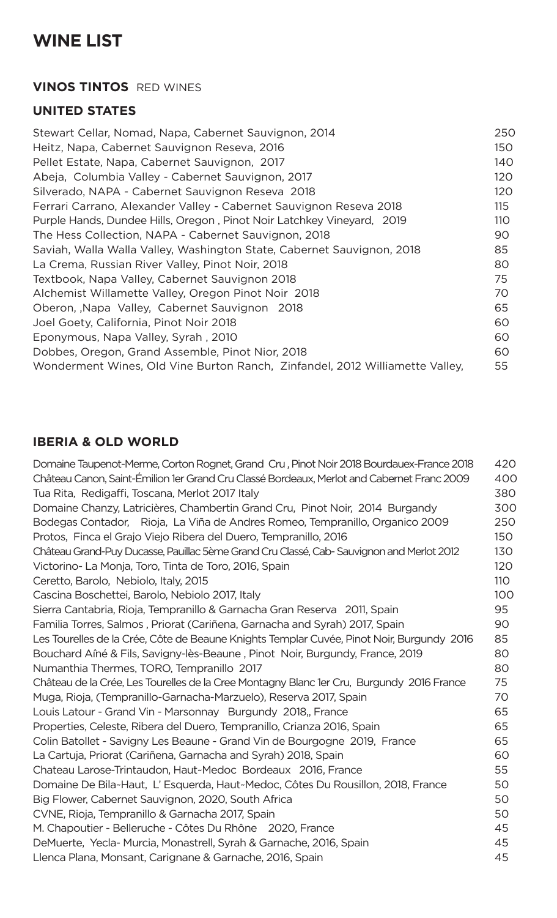# **WINE LIST**

### **VINOS TINTOS** RED WINES

## **UNITED STATES**

| Stewart Cellar, Nomad, Napa, Cabernet Sauvignon, 2014                        | 250 |
|------------------------------------------------------------------------------|-----|
| Heitz, Napa, Cabernet Sauvignon Reseva, 2016                                 | 150 |
| Pellet Estate, Napa, Cabernet Sauvignon, 2017                                | 140 |
| Abeja, Columbia Valley - Cabernet Sauvignon, 2017                            | 120 |
| Silverado, NAPA - Cabernet Sauvignon Reseva 2018                             | 120 |
| Ferrari Carrano, Alexander Valley - Cabernet Sauvignon Reseva 2018           | 115 |
| Purple Hands, Dundee Hills, Oregon, Pinot Noir Latchkey Vineyard, 2019       | 110 |
| The Hess Collection, NAPA - Cabernet Sauvignon, 2018                         | 90  |
| Saviah, Walla Walla Valley, Washington State, Cabernet Sauvignon, 2018       | 85  |
| La Crema, Russian River Valley, Pinot Noir, 2018                             | 80  |
| Textbook, Napa Valley, Cabernet Sauvignon 2018                               | 75  |
| Alchemist Willamette Valley, Oregon Pinot Noir 2018                          | 70  |
| Oberon, Napa Valley, Cabernet Sauvignon 2018                                 | 65  |
| Joel Goety, California, Pinot Noir 2018                                      | 60  |
| Eponymous, Napa Valley, Syrah, 2010                                          | 60  |
| Dobbes, Oregon, Grand Assemble, Pinot Nior, 2018                             | 60  |
| Wonderment Wines, Old Vine Burton Ranch, Zinfandel, 2012 Williamette Valley, | 55  |

## **IBERIA & OLD WORLD**

| Domaine Taupenot-Merme, Corton Rognet, Grand Cru, Pinot Noir 2018 Bourdauex-France 2018    | 420        |
|--------------------------------------------------------------------------------------------|------------|
| Château Canon, Saint-Émilion 1er Grand Cru Classé Bordeaux, Merlot and Cabernet Franc 2009 | 400        |
| Tua Rita, Redigaffi, Toscana, Merlot 2017 Italy                                            | 380        |
| Domaine Chanzy, Latricières, Chambertin Grand Cru, Pinot Noir, 2014 Burgandy               | 300        |
| Bodegas Contador, Rioja, La Viña de Andres Romeo, Tempranillo, Organico 2009               | 250        |
| Protos, Finca el Grajo Viejo Ribera del Duero, Tempranillo, 2016                           | 150        |
| Château Grand-Puy Ducasse, Pauillac 5ème Grand Cru Classé, Cab-Sauvignon and Merlot 2012   | 130        |
| Victorino- La Monja, Toro, Tinta de Toro, 2016, Spain                                      | 120        |
| Ceretto, Barolo, Nebiolo, Italy, 2015                                                      | <b>110</b> |
| Cascina Boschettei, Barolo, Nebiolo 2017, Italy                                            | 100        |
| Sierra Cantabria, Rioja, Tempranillo & Garnacha Gran Reserva 2011, Spain                   | 95         |
| Familia Torres, Salmos, Priorat (Cariñena, Garnacha and Syrah) 2017, Spain                 | 90         |
| Les Tourelles de la Crée, Côte de Beaune Knights Templar Cuvée, Pinot Noir, Burgundy 2016  | 85         |
| Bouchard Aîné & Fils, Savigny-lès-Beaune, Pinot Noir, Burgundy, France, 2019               | 80         |
| Numanthia Thermes, TORO, Tempranillo 2017                                                  | 80         |
| Château de la Crée, Les Tourelles de la Cree Montagny Blanc 1er Cru, Burgundy 2016 France  | 75         |
| Muga, Rioja, (Tempranillo-Garnacha-Marzuelo), Reserva 2017, Spain                          | 70         |
| Louis Latour - Grand Vin - Marsonnay Burgundy 2018,, France                                | 65         |
| Properties, Celeste, Ribera del Duero, Tempranillo, Crianza 2016, Spain                    | 65         |
| Colin Batollet - Savigny Les Beaune - Grand Vin de Bourgogne 2019, France                  | 65         |
| La Cartuja, Priorat (Cariñena, Garnacha and Syrah) 2018, Spain                             | 60         |
| Chateau Larose-Trintaudon, Haut~Medoc Bordeaux 2016, France                                | 55         |
| Domaine De Bila~Haut, L'Esquerda, Haut~Medoc, Côtes Du Rousillon, 2018, France             | 50         |
| Big Flower, Cabernet Sauvignon, 2020, South Africa                                         | 50         |
| CVNE, Rioja, Tempranillo & Garnacha 2017, Spain                                            | 50         |
| M. Chapoutier - Belleruche - Côtes Du Rhône 2020, France                                   | 45         |
| DeMuerte, Yecla-Murcia, Monastrell, Syrah & Garnache, 2016, Spain                          | 45         |
| Llenca Plana, Monsant, Carignane & Garnache, 2016, Spain                                   | 45         |